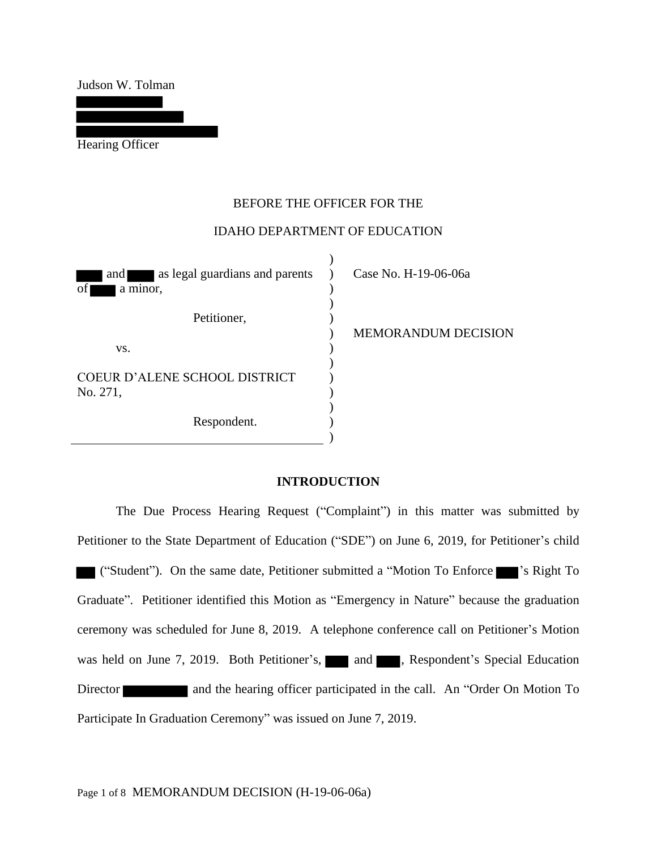Judson W. Tolman

Hearing Officer

## BEFORE THE OFFICER FOR THE

## IDAHO DEPARTMENT OF EDUCATION

and as legal guardians and parents of a minor, Petitioner, vs. COEUR D'ALENE SCHOOL DISTRICT No. 271, Respondent.  $)$ )  $\lambda$ ) ) ) ) ) ) ) ) ) )

Case No. H-19-06-06a

MEMORANDUM DECISION

#### **INTRODUCTION**

The Due Process Hearing Request ("Complaint") in this matter was submitted by Petitioner to the State Department of Education ("SDE") on June 6, 2019, for Petitioner's child ("Student"). On the same date, Petitioner submitted a "Motion To Enforce 's Right To Graduate". Petitioner identified this Motion as "Emergency in Nature" because the graduation ceremony was scheduled for June 8, 2019. A telephone conference call on Petitioner's Motion was held on June 7, 2019. Both Petitioner's, and and , Respondent's Special Education Director and the hearing officer participated in the call. An "Order On Motion To Participate In Graduation Ceremony" was issued on June 7, 2019.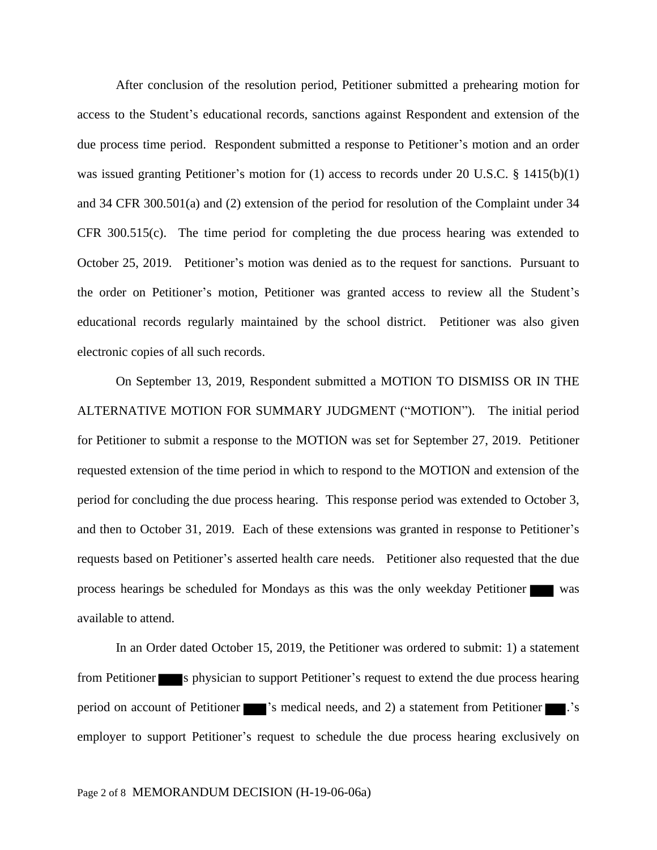After conclusion of the resolution period, Petitioner submitted a prehearing motion for access to the Student's educational records, sanctions against Respondent and extension of the due process time period. Respondent submitted a response to Petitioner's motion and an order was issued granting Petitioner's motion for (1) access to records under 20 U.S.C. § 1415(b)(1) and 34 CFR 300.501(a) and (2) extension of the period for resolution of the Complaint under 34 CFR 300.515(c). The time period for completing the due process hearing was extended to October 25, 2019. Petitioner's motion was denied as to the request for sanctions. Pursuant to the order on Petitioner's motion, Petitioner was granted access to review all the Student's educational records regularly maintained by the school district. Petitioner was also given electronic copies of all such records.

On September 13, 2019, Respondent submitted a MOTION TO DISMISS OR IN THE ALTERNATIVE MOTION FOR SUMMARY JUDGMENT ("MOTION"). The initial period for Petitioner to submit a response to the MOTION was set for September 27, 2019. Petitioner requested extension of the time period in which to respond to the MOTION and extension of the period for concluding the due process hearing. This response period was extended to October 3, and then to October 31, 2019. Each of these extensions was granted in response to Petitioner's requests based on Petitioner's asserted health care needs. Petitioner also requested that the due process hearings be scheduled for Mondays as this was the only weekday Petitioner was available to attend.

In an Order dated October 15, 2019, the Petitioner was ordered to submit: 1) a statement from Petitioner s physician to support Petitioner's request to extend the due process hearing period on account of Petitioner  $\blacksquare$  's medical needs, and 2) a statement from Petitioner  $\blacksquare$  .'s employer to support Petitioner's request to schedule the due process hearing exclusively on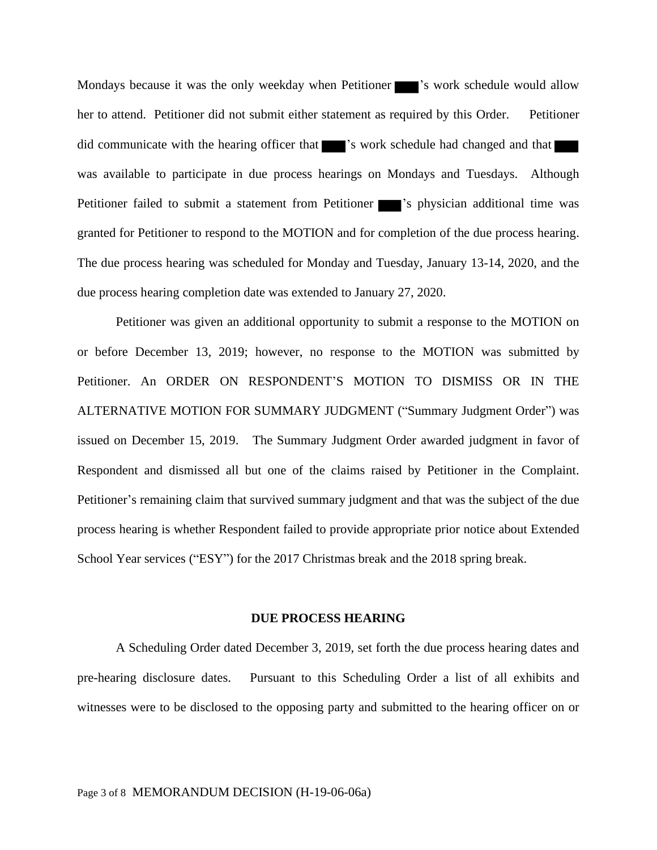Mondays because it was the only weekday when Petitioner  $\blacksquare$  's work schedule would allow her to attend. Petitioner did not submit either statement as required by this Order. Petitioner did communicate with the hearing officer that  $\blacksquare$  's work schedule had changed and that  $\blacksquare$ was available to participate in due process hearings on Mondays and Tuesdays. Although Petitioner failed to submit a statement from Petitioner  $\blacksquare$ 's physician additional time was granted for Petitioner to respond to the MOTION and for completion of the due process hearing. The due process hearing was scheduled for Monday and Tuesday, January 13-14, 2020, and the due process hearing completion date was extended to January 27, 2020.

Petitioner was given an additional opportunity to submit a response to the MOTION on or before December 13, 2019; however, no response to the MOTION was submitted by Petitioner. An ORDER ON RESPONDENT'S MOTION TO DISMISS OR IN THE ALTERNATIVE MOTION FOR SUMMARY JUDGMENT ("Summary Judgment Order") was issued on December 15, 2019. The Summary Judgment Order awarded judgment in favor of Respondent and dismissed all but one of the claims raised by Petitioner in the Complaint. Petitioner's remaining claim that survived summary judgment and that was the subject of the due process hearing is whether Respondent failed to provide appropriate prior notice about Extended School Year services ("ESY") for the 2017 Christmas break and the 2018 spring break.

#### **DUE PROCESS HEARING**

A Scheduling Order dated December 3, 2019, set forth the due process hearing dates and pre-hearing disclosure dates. Pursuant to this Scheduling Order a list of all exhibits and witnesses were to be disclosed to the opposing party and submitted to the hearing officer on or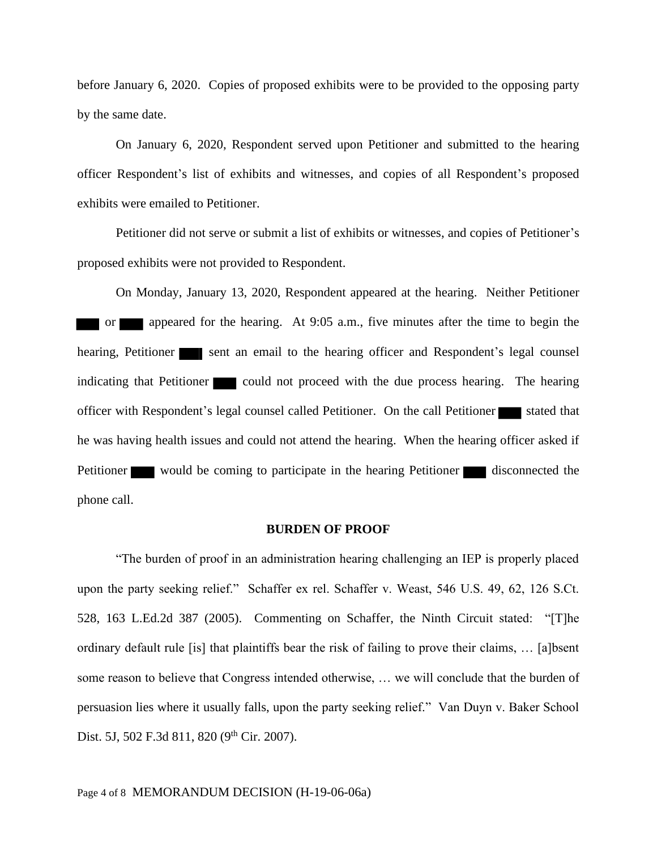before January 6, 2020. Copies of proposed exhibits were to be provided to the opposing party by the same date.

On January 6, 2020, Respondent served upon Petitioner and submitted to the hearing officer Respondent's list of exhibits and witnesses, and copies of all Respondent's proposed exhibits were emailed to Petitioner.

Petitioner did not serve or submit a list of exhibits or witnesses, and copies of Petitioner's proposed exhibits were not provided to Respondent.

On Monday, January 13, 2020, Respondent appeared at the hearing. Neither Petitioner or appeared for the hearing. At 9:05 a.m., five minutes after the time to begin the hearing, Petitioner sent an email to the hearing officer and Respondent's legal counsel indicating that Petitioner could not proceed with the due process hearing. The hearing officer with Respondent's legal counsel called Petitioner. On the call Petitioner stated that he was having health issues and could not attend the hearing. When the hearing officer asked if Petitioner would be coming to participate in the hearing Petitioner disconnected the phone call.

#### **BURDEN OF PROOF**

"The burden of proof in an administration hearing challenging an IEP is properly placed upon the party seeking relief." Schaffer ex rel. Schaffer v. Weast, 546 U.S. 49, 62, 126 S.Ct. 528, 163 L.Ed.2d 387 (2005). Commenting on Schaffer, the Ninth Circuit stated: "[T]he ordinary default rule [is] that plaintiffs bear the risk of failing to prove their claims, … [a]bsent some reason to believe that Congress intended otherwise, … we will conclude that the burden of persuasion lies where it usually falls, upon the party seeking relief." Van Duyn v. Baker School Dist. 5J, 502 F.3d 811, 820 (9<sup>th</sup> Cir. 2007).

### Page 4 of 8 MEMORANDUM DECISION (H-19-06-06a)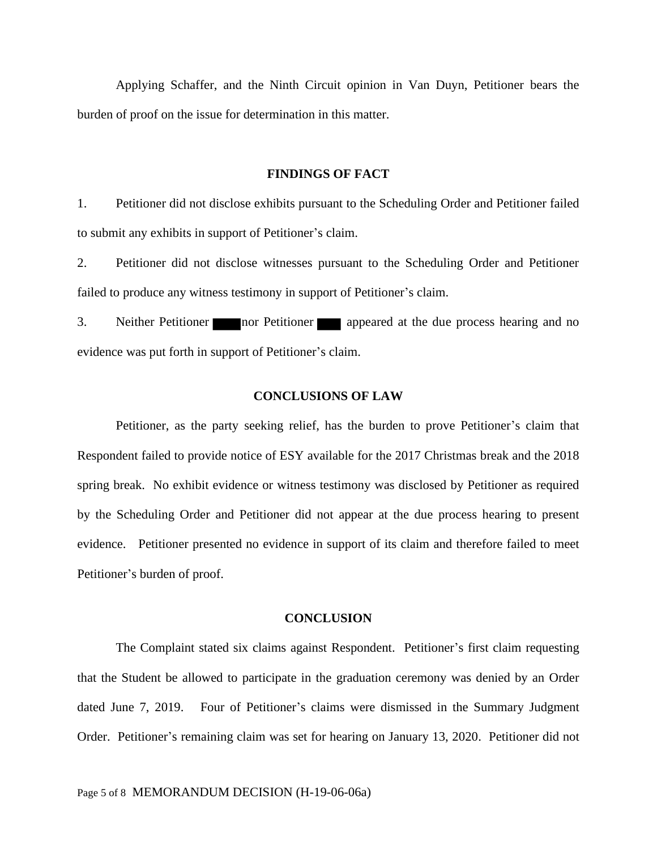Applying Schaffer, and the Ninth Circuit opinion in Van Duyn, Petitioner bears the burden of proof on the issue for determination in this matter.

### **FINDINGS OF FACT**

1. Petitioner did not disclose exhibits pursuant to the Scheduling Order and Petitioner failed to submit any exhibits in support of Petitioner's claim.

2. Petitioner did not disclose witnesses pursuant to the Scheduling Order and Petitioner failed to produce any witness testimony in support of Petitioner's claim.

3. Neither Petitioner nor Petitioner appeared at the due process hearing and no evidence was put forth in support of Petitioner's claim.

#### **CONCLUSIONS OF LAW**

Petitioner, as the party seeking relief, has the burden to prove Petitioner's claim that Respondent failed to provide notice of ESY available for the 2017 Christmas break and the 2018 spring break. No exhibit evidence or witness testimony was disclosed by Petitioner as required by the Scheduling Order and Petitioner did not appear at the due process hearing to present evidence. Petitioner presented no evidence in support of its claim and therefore failed to meet Petitioner's burden of proof.

#### **CONCLUSION**

The Complaint stated six claims against Respondent. Petitioner's first claim requesting that the Student be allowed to participate in the graduation ceremony was denied by an Order dated June 7, 2019. Four of Petitioner's claims were dismissed in the Summary Judgment Order. Petitioner's remaining claim was set for hearing on January 13, 2020. Petitioner did not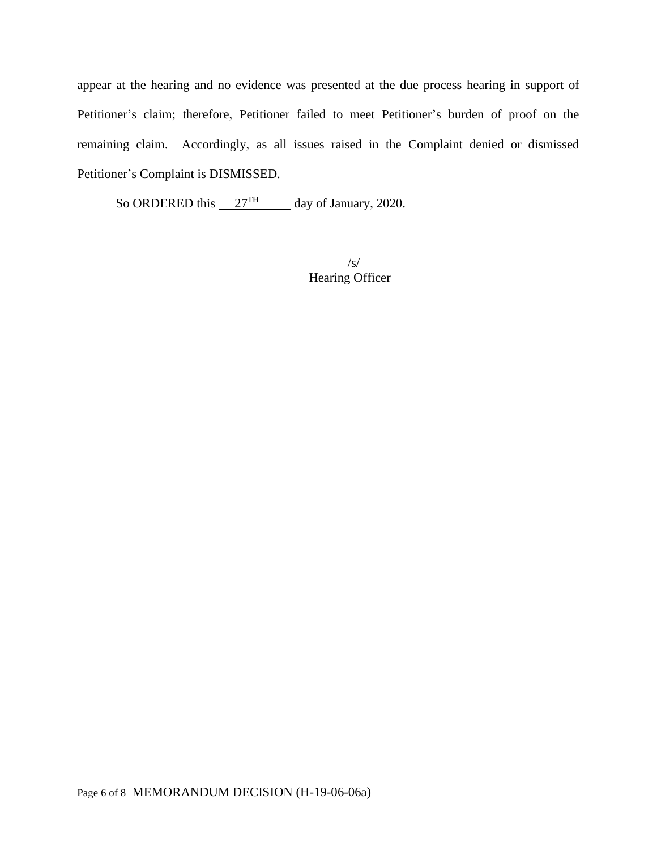appear at the hearing and no evidence was presented at the due process hearing in support of Petitioner's claim; therefore, Petitioner failed to meet Petitioner's burden of proof on the remaining claim. Accordingly, as all issues raised in the Complaint denied or dismissed Petitioner's Complaint is DISMISSED.

So ORDERED this  $27<sup>TH</sup>$  day of January, 2020.

 $\sqrt{s/}$ Hearing Officer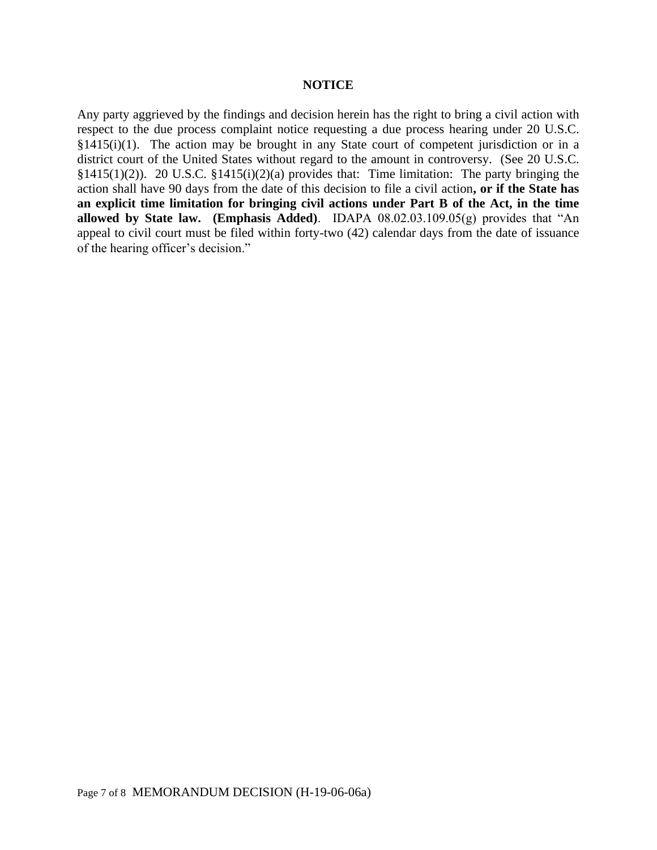### **NOTICE**

Any party aggrieved by the findings and decision herein has the right to bring a civil action with respect to the due process complaint notice requesting a due process hearing under 20 U.S.C.  $§1415(i)(1)$ . The action may be brought in any State court of competent jurisdiction or in a district court of the United States without regard to the amount in controversy. (See 20 U.S.C. §1415(1)(2)). 20 U.S.C. §1415(i)(2)(a) provides that: Time limitation: The party bringing the action shall have 90 days from the date of this decision to file a civil action**, or if the State has an explicit time limitation for bringing civil actions under Part B of the Act, in the time allowed by State law. (Emphasis Added)**. IDAPA 08.02.03.109.05(g) provides that "An appeal to civil court must be filed within forty-two (42) calendar days from the date of issuance of the hearing officer's decision."